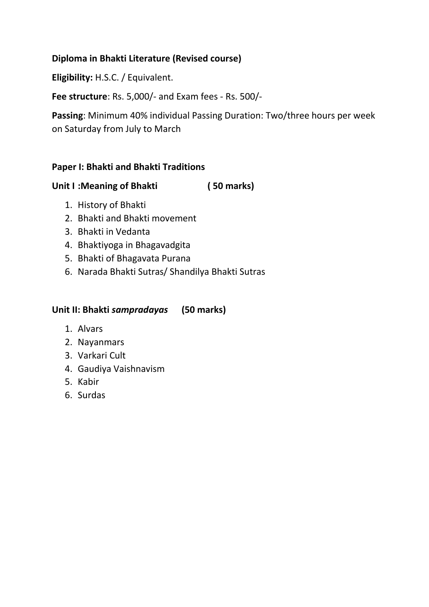# **Diploma in Bhakti Literature (Revised course)**

**Eligibility:** H.S.C. / Equivalent.

**Fee structure**: Rs. 5,000/- and Exam fees - Rs. 500/-

**Passing**: Minimum 40% individual Passing Duration: Two/three hours per week on Saturday from July to March

## **Paper I: Bhakti and Bhakti Traditions**

**Unit I :Meaning of Bhakti ( 50 marks)**

- 1. History of Bhakti
- 2. Bhakti and Bhakti movement
- 3. Bhakti in Vedanta
- 4. Bhaktiyoga in Bhagavadgita
- 5. Bhakti of Bhagavata Purana
- 6. Narada Bhakti Sutras/ Shandilya Bhakti Sutras

# **Unit II: Bhakti** *sampradayas* **(50 marks)**

- 1. Alvars
- 2. Nayanmars
- 3. Varkari Cult
- 4. Gaudiya Vaishnavism
- 5. Kabir
- 6. Surdas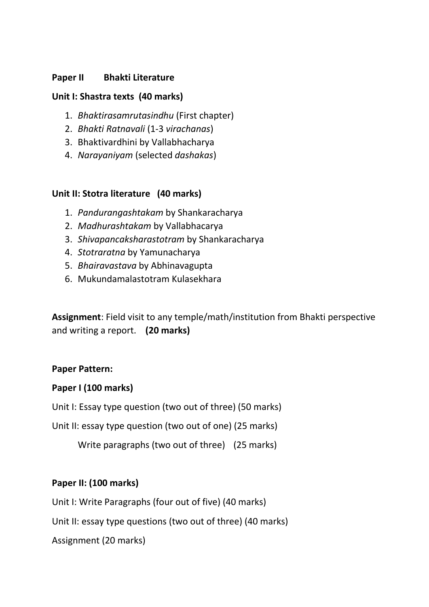## **Paper II Bhakti Literature**

## **Unit I: Shastra texts (40 marks)**

- 1. *Bhaktirasamrutasindhu* (First chapter)
- 2. *Bhakti Ratnavali* (1-3 *virachanas*)
- 3. Bhaktivardhini by Vallabhacharya
- 4. *Narayaniyam* (selected *dashakas*)

### **Unit II: Stotra literature (40 marks)**

- 1. *Pandurangashtakam* by Shankaracharya
- 2. *Madhurashtakam* by Vallabhacarya
- 3. *Shivapancaksharastotram* by Shankaracharya
- 4. *Stotraratna* by Yamunacharya
- 5. *Bhairavastava* by Abhinavagupta
- 6. Mukundamalastotram Kulasekhara

**Assignment**: Field visit to any temple/math/institution from Bhakti perspective and writing a report. **(20 marks)**

### **Paper Pattern:**

### **Paper I (100 marks)**

Unit I: Essay type question (two out of three) (50 marks)

Unit II: essay type question (two out of one) (25 marks)

Write paragraphs (two out of three) (25 marks)

# **Paper II: (100 marks)**

Unit I: Write Paragraphs (four out of five) (40 marks)

Unit II: essay type questions (two out of three) (40 marks)

Assignment (20 marks)